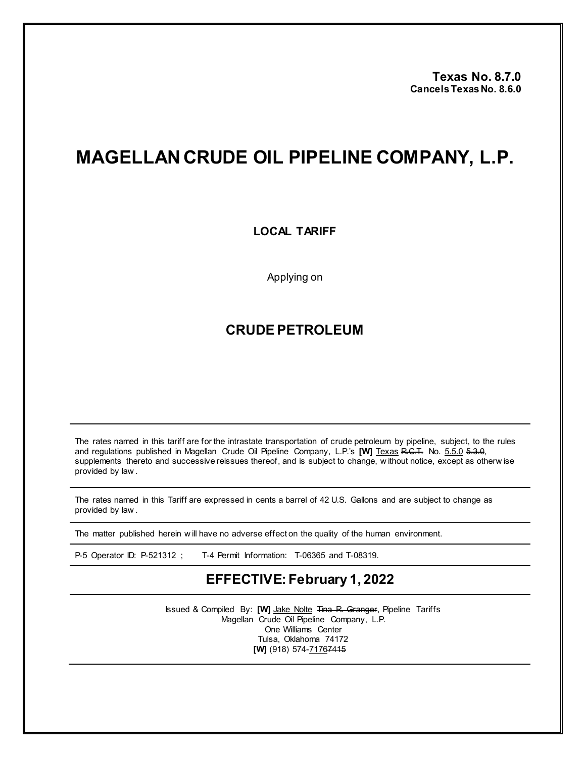**Texas No. 8.7.0 Cancels TexasNo. 8.6.0**

## **MAGELLAN CRUDE OIL PIPELINE COMPANY, L.P.**

## **LOCAL TARIFF**

Applying on

## **CRUDE PETROLEUM**

The rates named in this tariff are for the intrastate transportation of crude petroleum by pipeline, subject, to the rules and regulations published in Magellan Crude Oil Pipeline Company, L.P.'s [W] Texas R.C.T. No. 5.5.0 5.3.0, supplements thereto and successive reissues thereof, and is subject to change, w ithout notice, except as otherw ise provided by law .

The rates named in this Tariff are expressed in cents a barrel of 42 U.S. Gallons and are subject to change as provided by law .

The matter published herein w ill have no adverse effect on the quality of the human environment.

P-5 Operator ID: P-521312 ; T-4 Permit Information: T-06365 and T-08319.

## **EFFECTIVE: February 1, 2022**

Issued & Compiled By: **[W]** Jake Nolte Tina R. Granger, Pipeline Tariffs Magellan Crude Oil Pipeline Company, L.P. One Williams Center Tulsa, Oklahoma 74172 **[W]** (918) 574-71767415